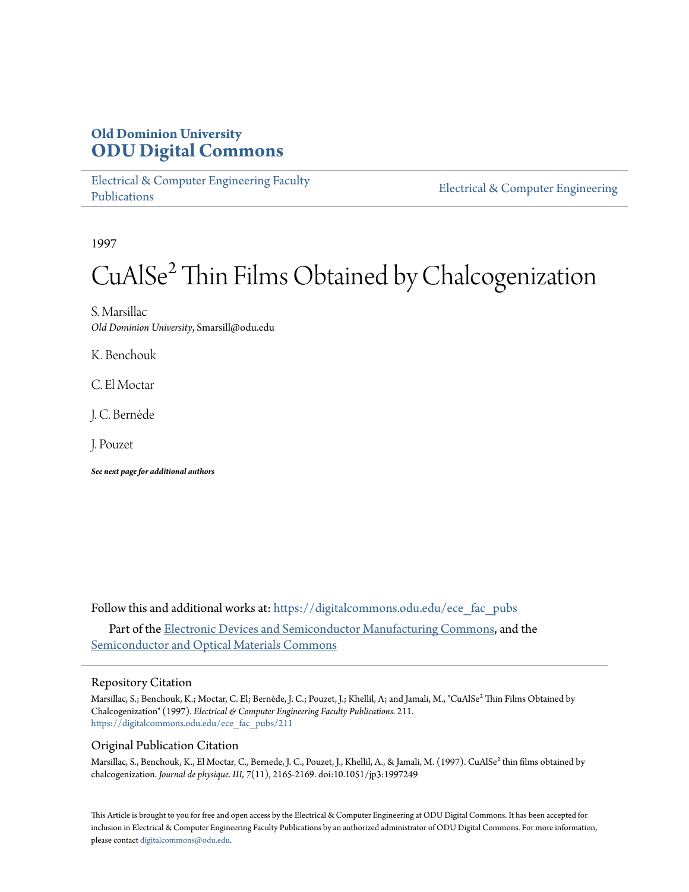# **Old Dominion University [ODU Digital Commons](https://digitalcommons.odu.edu?utm_source=digitalcommons.odu.edu%2Fece_fac_pubs%2F211&utm_medium=PDF&utm_campaign=PDFCoverPages)**

[Electrical & Computer Engineering Faculty](https://digitalcommons.odu.edu/ece_fac_pubs?utm_source=digitalcommons.odu.edu%2Fece_fac_pubs%2F211&utm_medium=PDF&utm_campaign=PDFCoverPages) [Publications](https://digitalcommons.odu.edu/ece_fac_pubs?utm_source=digitalcommons.odu.edu%2Fece_fac_pubs%2F211&utm_medium=PDF&utm_campaign=PDFCoverPages)

[Electrical & Computer Engineering](https://digitalcommons.odu.edu/ece?utm_source=digitalcommons.odu.edu%2Fece_fac_pubs%2F211&utm_medium=PDF&utm_campaign=PDFCoverPages)

1997

# CuAlSe² Thin Films Obtained by Chalcogenization

S. Marsillac *Old Dominion University*, Smarsill@odu.edu

K. Benchouk

C. El Moctar

J. C. Bernède

J. Pouzet

*See next page for additional authors*

Follow this and additional works at: [https://digitalcommons.odu.edu/ece\\_fac\\_pubs](https://digitalcommons.odu.edu/ece_fac_pubs?utm_source=digitalcommons.odu.edu%2Fece_fac_pubs%2F211&utm_medium=PDF&utm_campaign=PDFCoverPages)

Part of the [Electronic Devices and Semiconductor Manufacturing Commons](http://network.bepress.com/hgg/discipline/272?utm_source=digitalcommons.odu.edu%2Fece_fac_pubs%2F211&utm_medium=PDF&utm_campaign=PDFCoverPages), and the [Semiconductor and Optical Materials Commons](http://network.bepress.com/hgg/discipline/290?utm_source=digitalcommons.odu.edu%2Fece_fac_pubs%2F211&utm_medium=PDF&utm_campaign=PDFCoverPages)

## Repository Citation

Marsillac, S.; Benchouk, K.; Moctar, C. El; Bernède, J. C.; Pouzet, J.; Khellil, A; and Jamali, M., "CuAlSe<sup>2</sup> Thin Films Obtained by Chalcogenization" (1997). *Electrical & Computer Engineering Faculty Publications*. 211. [https://digitalcommons.odu.edu/ece\\_fac\\_pubs/211](https://digitalcommons.odu.edu/ece_fac_pubs/211?utm_source=digitalcommons.odu.edu%2Fece_fac_pubs%2F211&utm_medium=PDF&utm_campaign=PDFCoverPages)

# Original Publication Citation

Marsillac, S., Benchouk, K., El Moctar, C., Bernede, J. C., Pouzet, J., Khellil, A., & Jamali, M. (1997). CuAlSe<sup>2</sup> thin films obtained by chalcogenization. *Journal de physique. III, 7*(11), 2165-2169. doi:10.1051/jp3:1997249

This Article is brought to you for free and open access by the Electrical & Computer Engineering at ODU Digital Commons. It has been accepted for inclusion in Electrical & Computer Engineering Faculty Publications by an authorized administrator of ODU Digital Commons. For more information, please contact [digitalcommons@odu.edu](mailto:digitalcommons@odu.edu).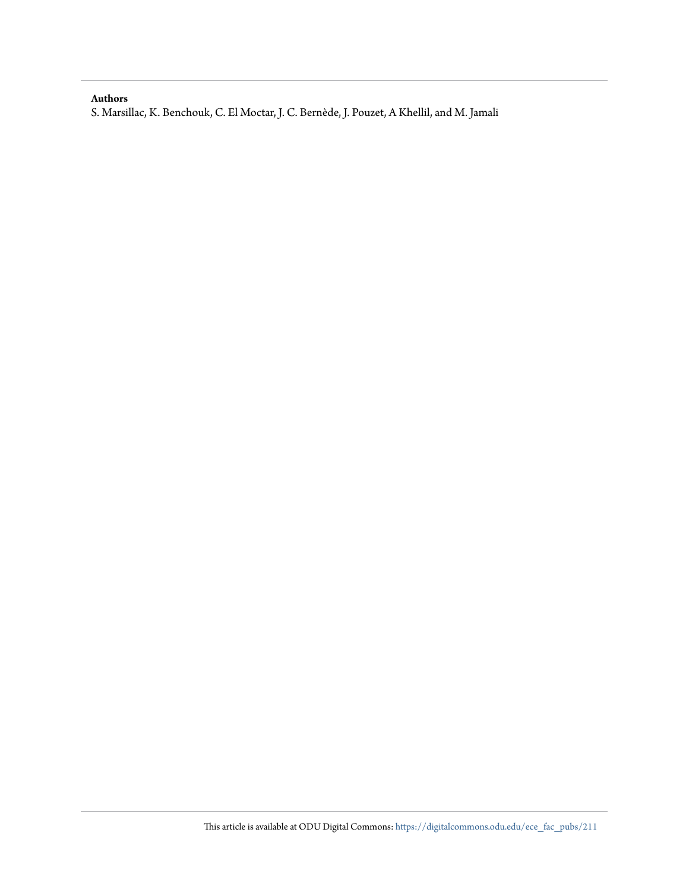## **Authors**

S. Marsillac, K. Benchouk, C. El Moctar, J. C. Bernède, J. Pouzet, A Khellil, and M. Jamali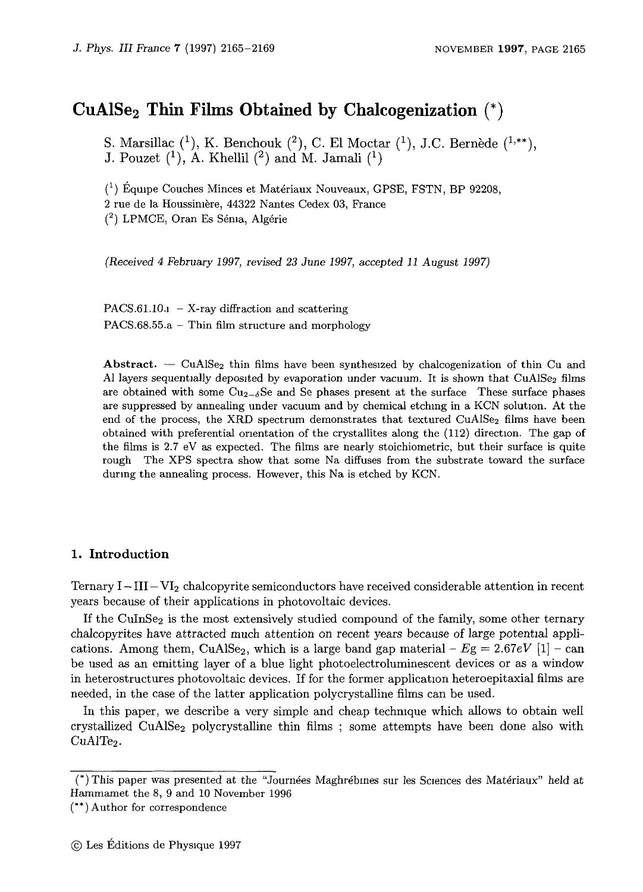# **CuA1Se2 Thin Films Obtained by Chalcogenization** (\*)

S. Marsillac  $(1)$ , K. Benchouk  $(2)$ , C. El Moctar  $(1)$ , J.C. Bernède  $(1, **)$ , J. Pouzet  $(1)$ , A. Khellil  $(2)$  and M. Jamali  $(1)$ 

 $(1)$  Équipe Couches Minces et Matériaux Nouveaux, GPSE, FSTN, BP 92208, 2 rue de la Houssimere, 44322 Nantes Cedex 03, France  $(2)$  LPMCE, Oran Es Sénia, Algérie

*(Received 4 February 1997, revised 23 June 1997,* accepted *11 August 1997)* 

 $PACS.61.10.1 - X-ray$  diffraction and scattering PACS. $68.55.a -$  Thin film structure and morphology

Abstract.  $\sim$  CuAlSe<sub>2</sub> thin films have been synthesized by chalcogenization of thin Cu and Al layers sequentially deposited by evaporation under vacuum. It is shown that  $CuAISE<sub>2</sub>$  films are obtained with some  $Cu_{2-\delta}$ Se and Se phases present at the surface These surface phases are suppressed by annealing under vacuum and by chemical etchmg in a KCN solution. At the end of the process, the XRD spectrum demonstrates that textured  $CuAlSe<sub>2</sub>$  films have been obtained with preferential orientation of the crystallites along the (112) direction. The gap of the films is 2.7 eV as expected. The films are nearly stoichiometric, but their surface is quite rough The XPS spectra show that some Na diffuses from the substrate toward the surface durmg the annealing process. However, this Na is etched by KCN.

#### **1. Introduction**

Ternary  $I - III - VI<sub>2</sub>$  chalcopyrite semiconductors have received considerable attention in recent years because of their applications in photovoltaic devices.

If the CuInSe<sub>2</sub> is the most extensively studied compound of the family, some other ternary chalcopyrites have attracted much attention on recent years because of large potential applications. Among them, CuAlSe<sub>2</sub>, which is a large band gap material  $-Eg = 2.67eV$  [1] - can be used as an emitting layer of a blue light photoelectroluminescent devices or as a window in heterostructures photovoltaic devices. If for the former application heteroepitaxial films are needed, in the case of the latter application polycrystalline films can be used.

In this paper, we describe a very simple and cheap techmque which allows to obtain well crystallized CuAlSe<sub>2</sub> polycrystalline thin films ; some attempts have been done also with  $CuAlTe<sub>2</sub>$ .

<sup>(\*)</sup> This paper was presented at the "Journees Maghrebmes sur !es Sciences des Materiaux" held at Hammamet the 8, 9 and 10 November 1996

<sup>(\*\*)</sup> Author for correspondence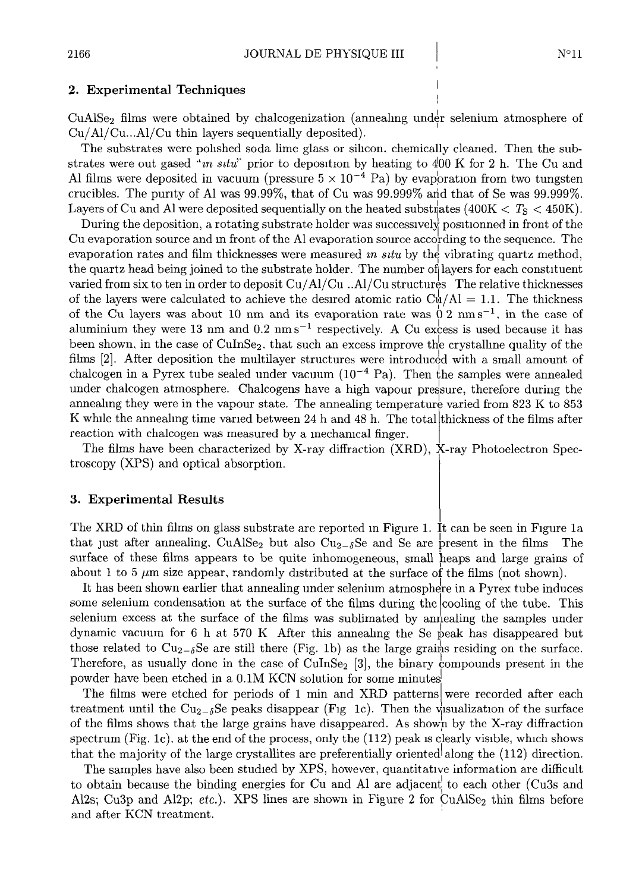# **2. Experimental Techniques**

 $CuAlSe<sub>2</sub>$  films were obtained by chalcogenization (annealing under selenium atmosphere of Cu/Al/Cu...Al/Cu thin layers sequentially deposited).

The substrates were polished soda lime glass or silicon, chemically cleaned. Then the substrates were out gased "*in situ*" prior to deposition by heating to  $400 \text{ K}$  for 2 h. The Cu and Al films were deposited in vacuum (pressure  $5 \times 10^{-4}$  Pa) by evaporation from two tungsten crucibles. The punty of Al was 99.99%, that of Cu was 99.999% arid that of Se was 99.999%. Layers of Cu and Al were deposited sequentially on the heated substrates  $(400K < T_S < 450K)$ .

During the deposition, a rotating substrate holder was successively positionned in front of the Cu evaporation source and m front of the Al evaporation source according to the sequence. The evaporation rates and film thicknesses were measured in *situ* by the vibrating quartz method, the quartz head being joined to the substrate holder. The number of layers for each constituent varied from six to ten in order to deposit Cu/ Al/Cu .. Al/Cu structures The relative thicknesses of the layers were calculated to achieve the desired atomic ratio  $C\psi/Al = 1.1$ . The thickness of the Cu layers was about 10 nm and its evaporation rate was  $0.2 \text{ nm s}^{-1}$ , in the case of aluminium they were 13 nm and 0.2  $\text{nm s}^{-1}$  respectively. A Cu excess is used because it has been shown, in the case of CuInSe<sub>2</sub>, that such an excess improve the crystalline quality of the films  $[2]$ . After deposition the multilayer structures were introduced with a small amount of chalcogen in a Pyrex tube sealed under vacuum  $(10^{-4}$  Pa). Then the samples were annealed under chalcogen atmosphere. Chalcogens have a high vapour pressure, therefore during the annealing they were in the vapour state. The annealing temperature varied from  $823~\mathrm{K}$  to  $853$ K while the annealing time varied between 24 h and 48 h. The total thickness of the films after reaction with chalcogen was measured by a mechamcal finger.

The films have been characterized by X-ray diffraction (XRD), X-ray Photoelectron Spectroscopy (XPS) and optical absorption.

#### **3. Experimental Results**

The XRD of thin films on glass substrate are reported m Figure 1. It can be seen in Figure la that just after annealing, CuAlSe<sub>2</sub> but also  $Cu_{2-\delta}$ Se and Se are present in the films The surface of these films appears to be quite inhomogeneous, small heaps and large grains of about 1 to 5  $\mu$ m size appear, randomly distributed at the surface of the films (not shown).

It has been shown earlier that annealing under selenium atmosphere in a Pyrex tube induces some selenium condensation at the surface of the films during the cooling of the tube. This selenium excess at the surface of the films was sublimated by annealing the samples under dynamic vacuum for 6 h at 570 K After this annealing the Se peak has disappeared but those related to  $Cu_{2-\delta}$ Se are still there (Fig. 1b) as the large grains residing on the surface. Therefore, as usually done in the case of CuInSe<sub>2</sub> [3], the binary compounds present in the powder have been etched in a 0.lM KCN solution for some minutes!

The films were etched for periods of **1** min and XRD patterns[ were recorded after each treatment until the Cu<sub>2-8</sub>Se peaks disappear (Fig 1c). Then the variation of the surface of the films shows that the large grains have disappeared. As shown by the X-ray diffraction spectrum (Fig. 1c). at the end of the process, only the  $(112)$  peak is clearly visible, which shows that the majority of the large crystallites are preferentially oriented\ along the (112) direction.

The samples have also been studied by XPS, however, quantitative information are difficult to obtain because the binding energies for Cu and Al are adjacent to each other (Cu3s and Al2s; Cu3p and Al2p; *etc.*). XPS lines are shown in Figure 2 for CuAlSe<sub>2</sub> thin films before and after KCN treatment.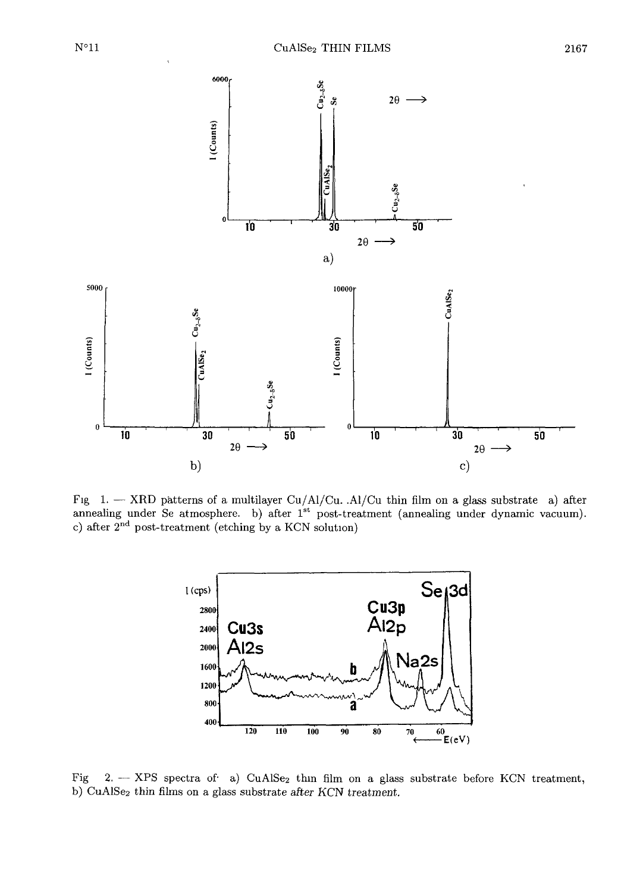

Fig 1. - XRD patterns of a multilayer Cu/Al/Cu. . Al/Cu thin film on a glass substrate a) after annealing under Se atmosphere. b) after 1<sup>st</sup> post-treatment (annealing under dynamic vacuum). c) after  $2<sup>nd</sup>$  post-treatment (etching by a KCN solution)



Fig 2. - XPS spectra of a) CuAISe<sub>2</sub> thin film on a glass substrate before KCN treatment, b) CuAlSe2 thin films on a glass substrate after KCN *treatment.*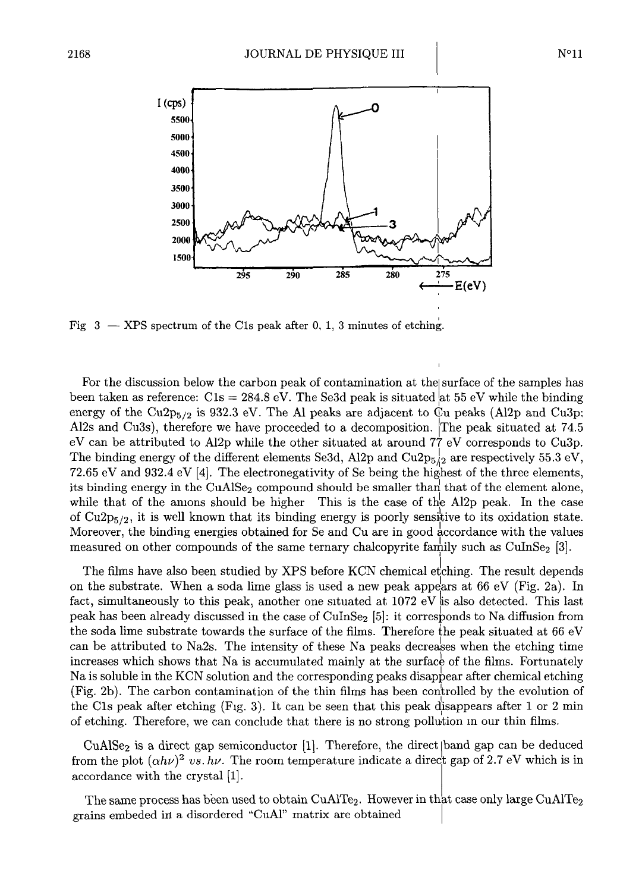

Fig  $3 - XPS$  spectrum of the C1s peak after 0, 1, 3 minutes of etching.

For the discussion below the carbon peak of contamination at the surface of the samples has been taken as reference:  $\text{C1s} = 284.8 \text{ eV}$ . The Se3d peak is situated at 55 eV while the binding energy of the Cu2p $_{5/2}$  is 932.3 eV. The Al peaks are adjacent to  $\ddot{C}$ u peaks (Al2p and Cu3p; Al2s and Cu3s), therefore we have proceeded to a decomposition. IThe peak situated at 74.5 eV can be attributed to Al2p while the other situated at around 77 eV corresponds to Cu3p. The binding energy of the different elements Se3d, Al2p and Cu2p<sub>5</sub> $/2$  are respectively 55.3 eV, 72.65 eV and 932.4 eV [4]. The electronegativity of Se being the highest of the three elements, its binding energy in the  $CuAlSe<sub>2</sub>$  compound should be smaller than that of the element alone, while that of the amons should be higher This is the case of the Al2p peak. In the case of  $Cu2p_{5/2}$ , it is well known that its binding energy is poorly sensitive to its oxidation state. Moreover, the binding energies obtained for Se and Cu are in good accordance with the values measured on other compounds of the same ternary chalcopyrite family such as CuInSe<sub>2</sub> [3].

The films have also been studied by XPS before KCN chemical etching. The result depends on the substrate. When a soda lime glass is used a new peak appears at 66 eV (Fig. 2a). In fact, simultaneously to this peak, another one situated at  $1072 \text{ eV}$  is also detected. This last peak has been already discussed in the case of CuInSe<sub>2</sub> [5]: it corresponds to Na diffusion from the soda lime substrate towards the surface of the films. Therefore the peak situated at  $66 \text{ eV}$ can be attributed to Na2s. The intensity of these Na peaks decreases when the etching time increases which shows that Na is accumulated mainly at the surface of the films. Fortunately Na is soluble in the KCN solution and the corresponding peaks disappear after chemical etching (Fig. 2b). The carbon contamination of the thin films has been controlled by the evolution of the Cls peak after etching (Fig. 3). It can be seen that this peak disappears after 1 or 2 min of etching. Therefore, we can conclude that there is no strong pollution m our thin films.

 $CuAlSe<sub>2</sub>$  is a direct gap semiconductor [1]. Therefore, the direct  $\delta$  band gap can be deduced from the plot  $(\alpha h\nu)^2$  *vs. hv*. The room temperature indicate a direct gap of 2.7 eV which is in accordance with the crystal [1].

The same process has been used to obtain CuAlTe<sub>2</sub>. However in that case only large CuAlTe<sub>2</sub> grains embeded in a disordered "CuAl" matrix are obtained